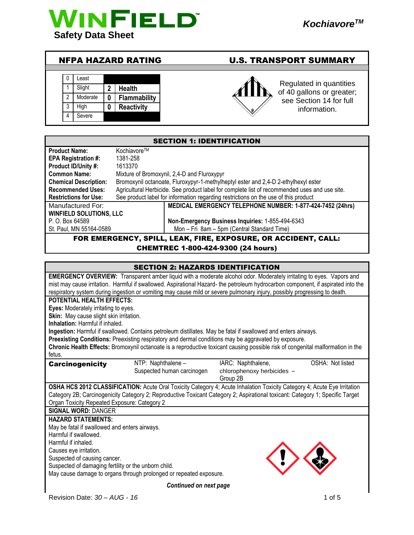

# NFPA HAZARD RATING U.S. TRANSPORT SUMMARY

|   | Least    |              |                     |
|---|----------|--------------|---------------------|
|   | Slight   | $\mathbf{2}$ | <b>Health</b>       |
| 2 | Moderate | O            | <b>Flammability</b> |
| 3 | High     | Λ            | <b>Reactivity</b>   |
|   | Severe   |              |                     |



Regulated in quantities of 40 gallons or greater; see Section 14 for full information.

|                                |                            | <b>SECTION 1: IDENTIFICATION</b>                                                              |
|--------------------------------|----------------------------|-----------------------------------------------------------------------------------------------|
| <b>Product Name:</b>           | Kochiavore™                |                                                                                               |
| EPA Registration #:            | 1381-258                   |                                                                                               |
| Product ID/Unity #:            | 1613370                    |                                                                                               |
| <b>Common Name:</b>            |                            | Mixture of Bromoxynil, 2,4-D and Fluroxypyr                                                   |
| <b>Chemical Description:</b>   |                            | Bromoxynil octanoate, Fluroxypyr-1-methylheptyl ester and 2,4-D 2-ethylhexyl ester            |
| <b>Recommended Uses:</b>       |                            | Agricultural Herbicide. See product label for complete list of recommended uses and use site. |
| <b>Restrictions for Use:</b>   |                            | See product label for information regarding restrictions on the use of this product           |
| Manufactured For:              |                            | MEDICAL EMERGENCY TELEPHONE NUMBER: 1-877-424-7452 (24hrs)                                    |
| <b>WINFIELD SOLUTIONS, LLC</b> |                            |                                                                                               |
| P. O. Box 64589                |                            | Non-Emergency Business Inquiries: 1-855-494-6343                                              |
| St. Paul, MN 55164-0589        |                            | Mon - Fri 8am - 5pm (Central Standard Time)                                                   |
|                                | <b>FOR EMERGENCY SDILL</b> | <b>FAK FIRE EXPOSURE OR ACCIDENT CALL.</b>                                                    |

#### ERGENCY, SPILL, LEAK, FIRE, EXPOSURE, OR ACCIDENT, CHEMTREC 1-800-424-9300 (24 hours)

|                                                                            | <b>SECTION 2: HAZARDS IDENTIFICATION</b> |                                                                                                                                                                                                                                                                                                                                                                                       |                  |
|----------------------------------------------------------------------------|------------------------------------------|---------------------------------------------------------------------------------------------------------------------------------------------------------------------------------------------------------------------------------------------------------------------------------------------------------------------------------------------------------------------------------------|------------------|
|                                                                            |                                          | EMERGENCY OVERVIEW: Transparent amber liquid with a moderate alcohol odor. Moderately irritating to eyes. Vapors and<br>mist may cause irritation. Harmful if swallowed. Aspirational Hazard- the petroleum hydrocarbon component, if aspirated into the<br>respiratory system during ingestion or vomiting may cause mild or severe pulmonary injury, possibly progressing to death. |                  |
| <b>POTENTIAL HEALTH EFFECTS:</b>                                           |                                          |                                                                                                                                                                                                                                                                                                                                                                                       |                  |
| Eyes: Moderately irritating to eyes.                                       |                                          |                                                                                                                                                                                                                                                                                                                                                                                       |                  |
| Skin: May cause slight skin irritation.                                    |                                          |                                                                                                                                                                                                                                                                                                                                                                                       |                  |
| <b>Inhalation: Harmful if inhaled.</b>                                     |                                          | Ingestion: Harmful if swallowed. Contains petroleum distillates. May be fatal if swallowed and enters airways.                                                                                                                                                                                                                                                                        |                  |
|                                                                            |                                          | Preexisting Conditions: Preexisting respiratory and dermal conditions may be aggravated by exposure.                                                                                                                                                                                                                                                                                  |                  |
|                                                                            |                                          | Chronic Health Effects: Bromoxynil octanoate is a reproductive toxicant causing possible risk of congenital malformation in the                                                                                                                                                                                                                                                       |                  |
| fetus.                                                                     |                                          |                                                                                                                                                                                                                                                                                                                                                                                       |                  |
| <b>Carcinogenicity</b>                                                     | NTP: Naphthalene -                       | IARC: Naphthalene,                                                                                                                                                                                                                                                                                                                                                                    | OSHA: Not listed |
|                                                                            | Suspected human carcinogen               | chlorophenoxy herbicides -                                                                                                                                                                                                                                                                                                                                                            |                  |
|                                                                            |                                          | Group 2B                                                                                                                                                                                                                                                                                                                                                                              |                  |
|                                                                            |                                          | OSHA HCS 2012 CLASSIFICATION: Acute Oral Toxicity Category 4; Acute Inhalation Toxicity Category 4; Acute Eye Irritation                                                                                                                                                                                                                                                              |                  |
|                                                                            |                                          | Category 2B; Carcinogenicity Category 2; Reproductive Toxicant Category 2; Aspirational toxicant: Category 1; Specific Target                                                                                                                                                                                                                                                         |                  |
| Organ Toxicity Repeated Exposure: Category 2<br><b>SIGNAL WORD: DANGER</b> |                                          |                                                                                                                                                                                                                                                                                                                                                                                       |                  |
| <b>HAZARD STATEMENTS:</b>                                                  |                                          |                                                                                                                                                                                                                                                                                                                                                                                       |                  |
| May be fatal if swallowed and enters airways.                              |                                          |                                                                                                                                                                                                                                                                                                                                                                                       |                  |
| Harmful if swallowed.                                                      |                                          |                                                                                                                                                                                                                                                                                                                                                                                       |                  |
| Harmful if inhaled.                                                        |                                          |                                                                                                                                                                                                                                                                                                                                                                                       |                  |
| Causes eye irritation.                                                     |                                          |                                                                                                                                                                                                                                                                                                                                                                                       |                  |
| Suspected of causing cancer.                                               |                                          |                                                                                                                                                                                                                                                                                                                                                                                       |                  |
| Suspected of damaging fertility or the unborn child.                       |                                          |                                                                                                                                                                                                                                                                                                                                                                                       |                  |
| May cause damage to organs through prolonged or repeated exposure.         |                                          |                                                                                                                                                                                                                                                                                                                                                                                       |                  |
|                                                                            | Continued on next page                   |                                                                                                                                                                                                                                                                                                                                                                                       |                  |
| Revision Date: 30 - AUG - 16                                               |                                          |                                                                                                                                                                                                                                                                                                                                                                                       | 1 of 5           |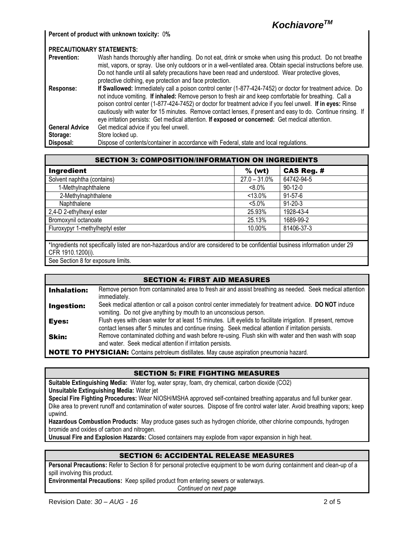

**Percent of product with unknown toxicity:** 0**%**

| <b>PRECAUTIONARY STATEMENTS:</b> |                                                                                                                 |
|----------------------------------|-----------------------------------------------------------------------------------------------------------------|
| <b>Prevention:</b>               | Wash hands thoroughly after handling. Do not eat, drink or smoke when using this product. Do not breathe        |
|                                  | mist, vapors, or spray. Use only outdoors or in a well-ventilated area. Obtain special instructions before use. |
|                                  | Do not handle until all safety precautions have been read and understood. Wear protective gloves,               |
|                                  | protective clothing, eye protection and face protection.                                                        |
| Response:                        | If Swallowed: Immediately call a poison control center (1-877-424-7452) or doctor for treatment advice. Do      |
|                                  | not induce vomiting. If inhaled: Remove person to fresh air and keep comfortable for breathing. Call a          |
|                                  | poison control center (1-877-424-7452) or doctor for treatment advice if you feel unwell. If in eyes: Rinse     |
|                                  | cautiously with water for 15 minutes. Remove contact lenses, if present and easy to do. Continue rinsing. If    |
|                                  | eye irritation persists: Get medical attention. If exposed or concerned: Get medical attention.                 |
| <b>General Advice</b>            | Get medical advice if you feel unwell.                                                                          |
| Storage:                         | Store locked up.                                                                                                |
| Disposal:                        | Dispose of contents/container in accordance with Federal, state and local regulations.                          |

| Ingredient                                                                                                                                         | $%$ (wt)        | <b>CAS Reg. #</b> |
|----------------------------------------------------------------------------------------------------------------------------------------------------|-----------------|-------------------|
| Solvent naphtha (contains)                                                                                                                         | $27.0 - 31.0\%$ | 64742-94-5        |
| 1-Methylnaphthalene                                                                                                                                | $8.0\%$         | $90-12-0$         |
| 2-Methylnaphthalene                                                                                                                                | $< 13.0\%$      | $91 - 57 - 6$     |
| Naphthalene                                                                                                                                        | $< 5.0\%$       | $91 - 20 - 3$     |
| 2,4-D 2-ethylhexyl ester                                                                                                                           | 25.93%          | 1928-43-4         |
| Bromoxynil octanoate                                                                                                                               | 25.13%          | 1689-99-2         |
| Fluroxypyr 1-methylheptyl ester                                                                                                                    | 10.00%          | 81406-37-3        |
| *Ingredients not specifically listed are non-hazardous and/or are considered to be confidential business information under 29<br>CFR 1910.1200(i). |                 |                   |
| See Section 8 for exposure limits.                                                                                                                 |                 |                   |

|                    | <b>SECTION 4: FIRST AID MEASURES</b>                                                                                                                                                                                  |
|--------------------|-----------------------------------------------------------------------------------------------------------------------------------------------------------------------------------------------------------------------|
| <b>Inhalation:</b> | Remove person from contaminated area to fresh air and assist breathing as needed. Seek medical attention<br>immediately.                                                                                              |
| Ingestion:         | Seek medical attention or call a poison control center immediately for treatment advice. DO NOT induce<br>vomiting. Do not give anything by mouth to an unconscious person.                                           |
| Eyes:              | Flush eyes with clean water for at least 15 minutes. Lift eyelids to facilitate irrigation. If present, remove<br>contact lenses after 5 minutes and continue rinsing. Seek medical attention if irritation persists. |
| <b>Skin:</b>       | Remove contaminated clothing and wash before re-using. Flush skin with water and then wash with soap<br>and water. Seek medical attention if irritation persists.                                                     |
|                    | <b>NOTE TO PHYSICIAN:</b> Contains petroleum distillates. May cause aspiration pneumonia hazard.                                                                                                                      |

### SECTION 5: FIRE FIGHTING MEASURES

**Suitable Extinguishing Media:** Water fog, water spray, foam, dry chemical, carbon dioxide (CO2) **Unsuitable Extinguishing Media:** Water jet

**Special Fire Fighting Procedures:** Wear NIOSH/MSHA approved self-contained breathing apparatus and full bunker gear. Dike area to prevent runoff and contamination of water sources. Dispose of fire control water later. Avoid breathing vapors; keep upwind.

**Hazardous Combustion Products:** May produce gases such as hydrogen chloride, other chlorine compounds, hydrogen bromide and oxides of carbon and nitrogen.

**Unusual Fire and Explosion Hazards:** Closed containers may explode from vapor expansion in high heat.

## SECTION 6: ACCIDENTAL RELEASE MEASURES

**Personal Precautions:** Refer to Section 8 for personal protective equipment to be worn during containment and clean-up of a spill involving this product.

**Environmental Precautions:** Keep spilled product from entering sewers or waterways.

*Continued on next page*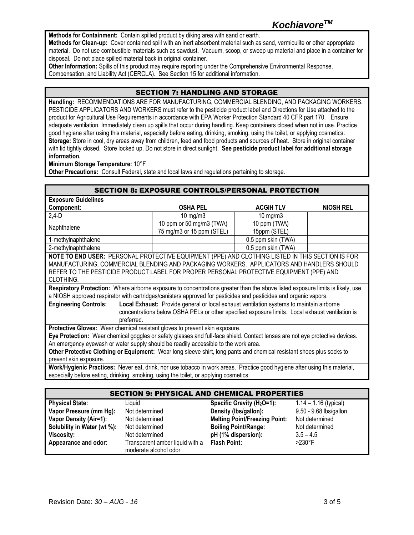**Methods for Containment:** Contain spilled product by diking area with sand or earth.

**Methods for Clean-up:** Cover contained spill with an inert absorbent material such as sand, vermiculite or other appropriate material. Do not use combustible materials such as sawdust. Vacuum, scoop, or sweep up material and place in a container for disposal. Do not place spilled material back in original container.

**Other Information:** Spills of this product may require reporting under the Comprehensive Environmental Response, Compensation, and Liability Act (CERCLA). See Section 15 for additional information.

## SECTION 7: HANDLING AND STORAGE

**Handling:** RECOMMENDATIONS ARE FOR MANUFACTURING, COMMERCIAL BLENDING, AND PACKAGING WORKERS. PESTICIDE APPLICATORS AND WORKERS must refer to the pesticide product label and Directions for Use attached to the product for Agricultural Use Requirements in accordance with EPA Worker Protection Standard 40 CFR part 170. Ensure adequate ventilation. Immediately clean up spills that occur during handling. Keep containers closed when not in use. Practice good hygiene after using this material, especially before eating, drinking, smoking, using the toilet, or applying cosmetics. **Storage:** Store in cool, dry areas away from children, feed and food products and sources of heat. Store in original container with lid tightly closed. Store locked up. Do not store in direct sunlight. **See pesticide product label for additional storage information.**

**Minimum Storage Temperature:** 10°F

**Other Precautions:** Consult Federal, state and local laws and regulations pertaining to storage.

|                                                                                                                                | <b>SECTION 8: EXPOSURE CONTROLS/PERSONAL PROTECTION</b>                                         |                    |                  |
|--------------------------------------------------------------------------------------------------------------------------------|-------------------------------------------------------------------------------------------------|--------------------|------------------|
| <b>Exposure Guidelines</b>                                                                                                     |                                                                                                 |                    |                  |
| Component:                                                                                                                     | <b>OSHA PEL</b>                                                                                 | <b>ACGIH TLV</b>   | <b>NIOSH REL</b> |
| $2,4-D$                                                                                                                        | $10$ mg/m $3$                                                                                   | $10 \text{ mg/m}$  |                  |
| Naphthalene                                                                                                                    | 10 ppm or 50 mg/m3 (TWA)                                                                        | 10 ppm (TWA)       |                  |
|                                                                                                                                | 75 mg/m3 or 15 ppm (STEL)                                                                       | 15ppm (STEL)       |                  |
| 1-methylnaphthalene                                                                                                            |                                                                                                 | 0.5 ppm skin (TWA) |                  |
| 2-methylnaphthalene                                                                                                            |                                                                                                 | 0.5 ppm skin (TWA) |                  |
| NOTE TO END USER: PERSONAL PROTECTIVE EQUIPMENT (PPE) AND CLOTHING LISTED IN THIS SECTION IS FOR                               |                                                                                                 |                    |                  |
| MANUFACTURING, COMMERCIAL BLENDING AND PACKAGING WORKERS. APPLICATORS AND HANDLERS SHOULD                                      |                                                                                                 |                    |                  |
| REFER TO THE PESTICIDE PRODUCT LABEL FOR PROPER PERSONAL PROTECTIVE EQUIPMENT (PPE) AND                                        |                                                                                                 |                    |                  |
| CLOTHING.                                                                                                                      |                                                                                                 |                    |                  |
| Respiratory Protection: Where airborne exposure to concentrations greater than the above listed exposure limits is likely, use |                                                                                                 |                    |                  |
| a NIOSH approved respirator with cartridges/canisters approved for pesticides and pesticides and organic vapors.               |                                                                                                 |                    |                  |
| <b>Engineering Controls:</b>                                                                                                   | Local Exhaust: Provide general or local exhaust ventilation systems to maintain airborne        |                    |                  |
|                                                                                                                                | concentrations below OSHA PELs or other specified exposure limits. Local exhaust ventilation is |                    |                  |
| preferred.                                                                                                                     |                                                                                                 |                    |                  |
| Protective Gloves: Wear chemical resistant gloves to prevent skin exposure.                                                    |                                                                                                 |                    |                  |
| Eye Protection: Wear chemical goggles or safety glasses and full-face shield. Contact lenses are not eye protective devices.   |                                                                                                 |                    |                  |
| An emergency eyewash or water supply should be readily accessible to the work area.                                            |                                                                                                 |                    |                  |
| Other Protective Clothing or Equipment: Wear long sleeve shirt, long pants and chemical resistant shoes plus socks to          |                                                                                                 |                    |                  |
| prevent skin exposure.                                                                                                         |                                                                                                 |                    |                  |
| Work/Hygienic Practices: Never eat, drink, nor use tobacco in work areas. Practice good hygiene after using this material,     |                                                                                                 |                    |                  |
| especially before eating, drinking, smoking, using the toilet, or applying cosmetics.                                          |                                                                                                 |                    |                  |

# SECTION 9: PHYSICAL AND CHEMICAL PROPERTIES

| <b>Physical State:</b>        | Liauid                                                   | Specific Gravity ( $H2O=1$ ):        | $1.14 - 1.16$ (typical) |
|-------------------------------|----------------------------------------------------------|--------------------------------------|-------------------------|
| Vapor Pressure (mm Hg):       | Not determined                                           | Density (lbs/gallon):                | 9.50 - 9.68 lbs/gallon  |
| <b>Vapor Density (Air=1):</b> | Not determined                                           | <b>Melting Point/Freezing Point:</b> | Not determined          |
| Solubility in Water (wt %):   | Not determined                                           | <b>Boiling Point/Range:</b>          | Not determined          |
| Viscosity:                    | Not determined                                           | pH (1% dispersion):                  | $3.5 - 4.5$             |
| Appearance and odor:          | Transparent amber liquid with a<br>moderate alcohol odor | <b>Flash Point:</b>                  | $>230^\circ F$          |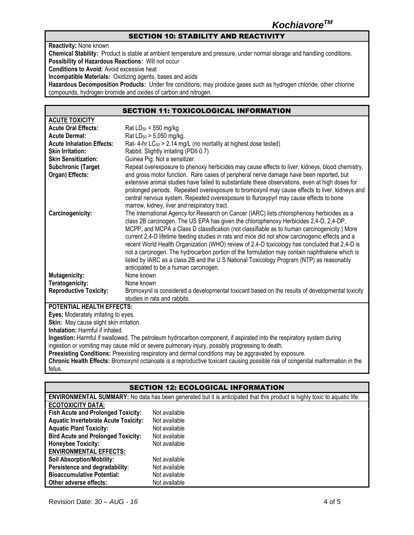# *KochiavoreTM*

## SECTION 10: STABILITY AND REACTIVITY

**Reactivity:** None known **Chemical Stability:** Product is stable at ambient temperature and pressure, under normal storage and handling conditions. **Possibility of Hazardous Reactions:** Will not occur **Conditions to Avoid:** Avoid excessive heat **Incompatible Materials:** Oxidizing agents, bases and acids **Hazardous Decomposition Products:** Under fire conditions, may produce gases such as hydrogen chloride, other chlorine compounds, hydrogen bromide and oxides of carbon and nitrogen.

### SECTION 11: TOXICOLOGICAL INFORMATION

| <b>ACUTE TOXICITY</b>                        |                                                                                                                                                                                                                                                                                                                                                                                                                                                                                                                                                                                                                                                                                                                               |
|----------------------------------------------|-------------------------------------------------------------------------------------------------------------------------------------------------------------------------------------------------------------------------------------------------------------------------------------------------------------------------------------------------------------------------------------------------------------------------------------------------------------------------------------------------------------------------------------------------------------------------------------------------------------------------------------------------------------------------------------------------------------------------------|
| <b>Acute Oral Effects:</b>                   | $Rat LD_{50} = 550$ mg/kg                                                                                                                                                                                                                                                                                                                                                                                                                                                                                                                                                                                                                                                                                                     |
| <b>Acute Dermal:</b>                         | Rat LD <sub>50</sub> > 5,050 mg/kg.                                                                                                                                                                                                                                                                                                                                                                                                                                                                                                                                                                                                                                                                                           |
| <b>Acute Inhalation Effects:</b>             | Rat-4-hr $LC_{50}$ > 2.14 mg/L (no mortality at highest dose tested)                                                                                                                                                                                                                                                                                                                                                                                                                                                                                                                                                                                                                                                          |
| <b>Skin Irritation:</b>                      | Rabbit: Slightly irritating (PDII 0.7)                                                                                                                                                                                                                                                                                                                                                                                                                                                                                                                                                                                                                                                                                        |
| <b>Skin Sensitization:</b>                   | Guinea Pig: Not a sensitizer.                                                                                                                                                                                                                                                                                                                                                                                                                                                                                                                                                                                                                                                                                                 |
| <b>Subchronic (Target</b><br>Organ) Effects: | Repeat overexposure to phenoxy herbicides may cause effects to liver, kidneys, blood chemistry,<br>and gross motor function. Rare cases of peripheral nerve damage have been reported, but<br>extensive animal studies have failed to substantiate these observations, even at high doses for<br>prolonged periods. Repeated overexposure to bromoxynil may cause effects to liver, kidneys and<br>central nervous system. Repeated overexposure to fluroxypyrl may cause effects to bone<br>marrow, kidney, liver and respiratory tract.                                                                                                                                                                                     |
| Carcinogenicity:                             | The International Agency for Research on Cancer (IARC) lists chlorophenoxy herbicides as a<br>class 2B carcinogen. The US EPA has given the chlorophenoxy Herbicides 2,4-D, 2,4-DP,<br>MCPP, and MCPA a Class D classification (not classifiable as to human carcinogenicity.) More<br>current 2,4-D lifetime feeding studies in rats and mice did not show carcinogenic effects and a<br>recent World Health Organization (WHO) review of 2,4-D toxicology has concluded that 2,4-D is<br>not a carcinogen. The hydrocarbon portion of the formulation may contain naphthalene which is<br>listed by IARC as a class 2B and the U.S National Toxicology Program (NTP) as reasonably<br>anticipated to be a human carcinogen. |
| <b>Mutagenicity:</b>                         | None known                                                                                                                                                                                                                                                                                                                                                                                                                                                                                                                                                                                                                                                                                                                    |
| Teratogenicity:                              | None known                                                                                                                                                                                                                                                                                                                                                                                                                                                                                                                                                                                                                                                                                                                    |
| <b>Reproductive Toxicity:</b>                | Bromoxynil is considered a developmental toxicant based on the results of developmental toxicity<br>studies in rats and rabbits.                                                                                                                                                                                                                                                                                                                                                                                                                                                                                                                                                                                              |
| <b>POTENTIAL HEALTH EFFECTS:</b>             |                                                                                                                                                                                                                                                                                                                                                                                                                                                                                                                                                                                                                                                                                                                               |
| Even: Moderately irritating to over          |                                                                                                                                                                                                                                                                                                                                                                                                                                                                                                                                                                                                                                                                                                                               |

**Eyes:** Moderately irritating to eyes. **Skin:** May cause slight skin irritation.

**Inhalation:** Harmful if inhaled.

**Ingestion:** Harmful if swallowed. The petroleum hydrocarbon component, if aspirated into the respiratory system during ingestion or vomiting may cause mild or severe pulmonary injury, possibly progressing to death.

**Preexisting Conditions:** Preexisting respiratory and dermal conditions may be aggravated by exposure.

**Chronic Health Effects:** Bromoxynil octanoate is a reproductive toxicant causing possible risk of congenital malformation in the fetus.

## SECTION 12: ECOLOGICAL INFORMATION

|                                             | <b>ENVIRONMENTAL SUMMARY:</b> No data has been generated but it is anticipated that this product is highly toxic to aquatic life. |
|---------------------------------------------|-----------------------------------------------------------------------------------------------------------------------------------|
| <b>ECOTOXICITY DATA:</b>                    |                                                                                                                                   |
| <b>Fish Acute and Prolonged Toxicity:</b>   | Not available                                                                                                                     |
| <b>Aquatic Invertebrate Acute Toxicity:</b> | Not available                                                                                                                     |
| <b>Aquatic Plant Toxicity:</b>              | Not available                                                                                                                     |
| <b>Bird Acute and Prolonged Toxicity:</b>   | Not available                                                                                                                     |
| <b>Honeybee Toxicity:</b>                   | Not available                                                                                                                     |
| <b>ENVIRONMENTAL EFFECTS:</b>               |                                                                                                                                   |
| <b>Soil Absorption/Mobility:</b>            | Not available                                                                                                                     |
| Persistence and degradability:              | Not available                                                                                                                     |
| <b>Bioaccumulative Potential:</b>           | Not available                                                                                                                     |
| Other adverse effects:                      | Not available                                                                                                                     |